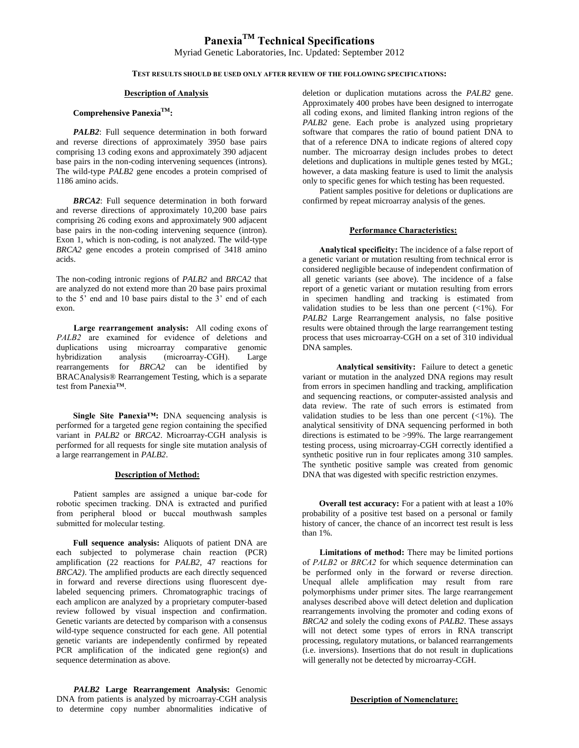# **PanexiaTM Technical Specifications** Myriad Genetic Laboratories, Inc. Updated: September 2012

#### **TEST RESULTS SHOULD BE USED ONLY AFTER REVIEW OF THE FOLLOWING SPECIFICATIONS:**

#### **Description of Analysis**

## **Comprehensive PanexiaTM:**

*PALB2*: Full sequence determination in both forward and reverse directions of approximately 3950 base pairs comprising 13 coding exons and approximately 390 adjacent base pairs in the non-coding intervening sequences (introns). The wild-type *PALB2* gene encodes a protein comprised of 1186 amino acids.

*BRCA2*: Full sequence determination in both forward and reverse directions of approximately 10,200 base pairs comprising 26 coding exons and approximately 900 adjacent base pairs in the non-coding intervening sequence (intron). Exon 1, which is non-coding, is not analyzed. The wild-type *BRCA2* gene encodes a protein comprised of 3418 amino acids.

The non-coding intronic regions of *PALB2* and *BRCA2* that are analyzed do not extend more than 20 base pairs proximal to the 5' end and 10 base pairs distal to the 3' end of each exon.

**Large rearrangement analysis:** All coding exons of *PALB2* are examined for evidence of deletions and duplications using microarray comparative genomic hybridization analysis (microarray-CGH). Large rearrangements for *BRCA2* can be identified by BRACAnalysis® Rearrangement Testing, which is a separate test from Panexia™.

**Single Site Panexia™:** DNA sequencing analysis is performed for a targeted gene region containing the specified variant in *PALB2* or *BRCA2*. Microarray-CGH analysis is performed for all requests for single site mutation analysis of a large rearrangement in *PALB2*.

#### **Description of Method:**

Patient samples are assigned a unique bar-code for robotic specimen tracking. DNA is extracted and purified from peripheral blood or buccal mouthwash samples submitted for molecular testing.

**Full sequence analysis:** Aliquots of patient DNA are each subjected to polymerase chain reaction (PCR) amplification (22 reactions for *PALB2*, 47 reactions for *BRCA2)*. The amplified products are each directly sequenced in forward and reverse directions using fluorescent dyelabeled sequencing primers. Chromatographic tracings of each amplicon are analyzed by a proprietary computer-based review followed by visual inspection and confirmation. Genetic variants are detected by comparison with a consensus wild-type sequence constructed for each gene. All potential genetic variants are independently confirmed by repeated PCR amplification of the indicated gene region(s) and sequence determination as above.

*PALB2* **Large Rearrangement Analysis:** Genomic DNA from patients is analyzed by microarray-CGH analysis to determine copy number abnormalities indicative of

deletion or duplication mutations across the *PALB2* gene. Approximately 400 probes have been designed to interrogate all coding exons, and limited flanking intron regions of the *PALB2* gene. Each probe is analyzed using proprietary software that compares the ratio of bound patient DNA to that of a reference DNA to indicate regions of altered copy number. The microarray design includes probes to detect deletions and duplications in multiple genes tested by MGL; however, a data masking feature is used to limit the analysis only to specific genes for which testing has been requested.

Patient samples positive for deletions or duplications are confirmed by repeat microarray analysis of the genes.

#### **Performance Characteristics:**

**Analytical specificity:** The incidence of a false report of a genetic variant or mutation resulting from technical error is considered negligible because of independent confirmation of all genetic variants (see above). The incidence of a false report of a genetic variant or mutation resulting from errors in specimen handling and tracking is estimated from validation studies to be less than one percent  $\left(\langle 1\% \rangle \right)$ . For *PALB2* Large Rearrangement analysis, no false positive results were obtained through the large rearrangement testing process that uses microarray-CGH on a set of 310 individual DNA samples.

 **Analytical sensitivity:** Failure to detect a genetic variant or mutation in the analyzed DNA regions may result from errors in specimen handling and tracking, amplification and sequencing reactions, or computer-assisted analysis and data review. The rate of such errors is estimated from validation studies to be less than one percent  $(\langle 1\% \rangle)$ . The analytical sensitivity of DNA sequencing performed in both directions is estimated to be >99%. The large rearrangement testing process, using microarray-CGH correctly identified a synthetic positive run in four replicates among 310 samples. The synthetic positive sample was created from genomic DNA that was digested with specific restriction enzymes.

**Overall test accuracy:** For a patient with at least a 10% probability of a positive test based on a personal or family history of cancer, the chance of an incorrect test result is less than 1%.

**Limitations of method:** There may be limited portions of *PALB2* or *BRCA2* for which sequence determination can be performed only in the forward or reverse direction. Unequal allele amplification may result from rare polymorphisms under primer sites. The large rearrangement analyses described above will detect deletion and duplication rearrangements involving the promoter and coding exons of *BRCA2* and solely the coding exons of *PALB2*. These assays will not detect some types of errors in RNA transcript processing, regulatory mutations, or balanced rearrangements (i.e. inversions). Insertions that do not result in duplications will generally not be detected by microarray-CGH.

## **Description of Nomenclature:**